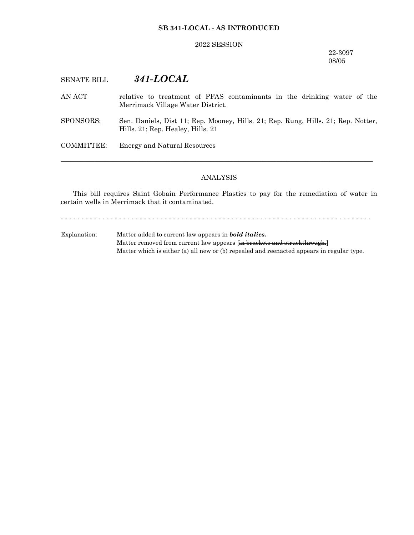## **SB 341-LOCAL - AS INTRODUCED**

## 2022 SESSION

22-3097 08/05

# SENATE BILL *341-LOCAL*

- AN ACT relative to treatment of PFAS contaminants in the drinking water of the Merrimack Village Water District.
- SPONSORS: Sen. Daniels, Dist 11; Rep. Mooney, Hills. 21; Rep. Rung, Hills. 21; Rep. Notter, Hills. 21; Rep. Healey, Hills. 21

COMMITTEE: Energy and Natural Resources

#### ANALYSIS

─────────────────────────────────────────────────────────────────

This bill requires Saint Gobain Performance Plastics to pay for the remediation of water in certain wells in Merrimack that it contaminated.

- - - - - - - - - - - - - - - - - - - - - - - - - - - - - - - - - - - - - - - - - - - - - - - - - - - - - - - - - - - - - - - - - - - - - - - - - - -

Explanation: Matter added to current law appears in *bold italics.* Matter removed from current law appears [in brackets and struckthrough.] Matter which is either (a) all new or (b) repealed and reenacted appears in regular type.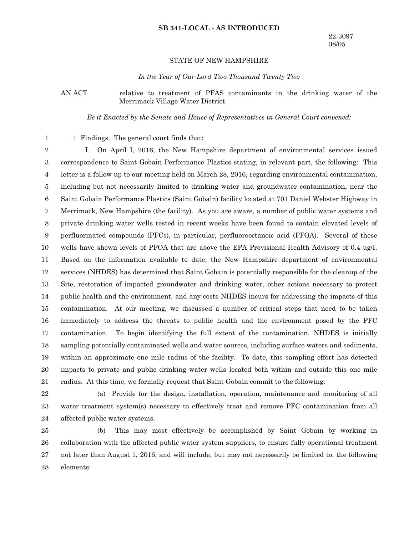#### **SB 341-LOCAL - AS INTRODUCED**

### STATE OF NEW HAMPSHIRE

*In the Year of Our Lord Two Thousand Twenty Two*

AN ACT relative to treatment of PFAS contaminants in the drinking water of the Merrimack Village Water District.

*Be it Enacted by the Senate and House of Representatives in General Court convened:*

1 Findings. The general court finds that: 1

I. On April l, 2016, the New Hampshire department of environmental services issued correspondence to Saint Gobain Performance Plastics stating, in relevant part, the following: This letter is a follow up to our meeting held on March 28, 2016, regarding environmental contamination, including but not necessarily limited to drinking water and groundwater contamination, near the Saint Gobain Performance Plastics (Saint Gobain) facility located at 701 Daniel Webster Highway in Merrimack, New Hampshire (the facility). As you are aware, a number of public water systems and private drinking water wells tested in recent weeks have been found to contain elevated levels of perfluorinated compounds (PFCs), in particular, perfluorooctanoic acid (PFOA). Several of these wells have shown levels of PFOA that are above the EPA Provisional Health Advisory of 0.4 ug/I. Based on the information available to date, the New Hampshire department of environmental services (NHDES) has determined that Saint Gobain is potentially responsible for the cleanup of the Site, restoration of impacted groundwater and drinking water, other actions necessary to protect public health and the environment, and any costs NHDES incurs for addressing the impacts of this contamination. At our meeting, we discussed a number of critical steps that need to be taken immediately to address the threats to public health and the environment posed by the PFC contamination. To begin identifying the full extent of the contamination, NHDES is initially sampling potentially contaminated wells and water sources, including surface waters and sediments, within an approximate one mile radius of the facility. To date, this sampling effort has detected impacts to private and public drinking water wells located both within and outside this one mile radius. At this time, we formally request that Saint Gobain commit to the following: 2 3 4 5 6 7 8 9 10 11 12 13 14 15 16 17 18 19 20 21

22

(a) Provide for the design, installation, operation, maintenance and monitoring of all water treatment system(s) necessary to effectively treat and remove PFC contamination from all affected public water systems. 23 24

(b) This may most effectively be accomplished by Saint Gobain by working in collaboration with the affected public water system suppliers, to ensure fully operational treatment not later than August 1, 2016, and will include, but may not necessarily be limited to, the following elements: 25 26 27 28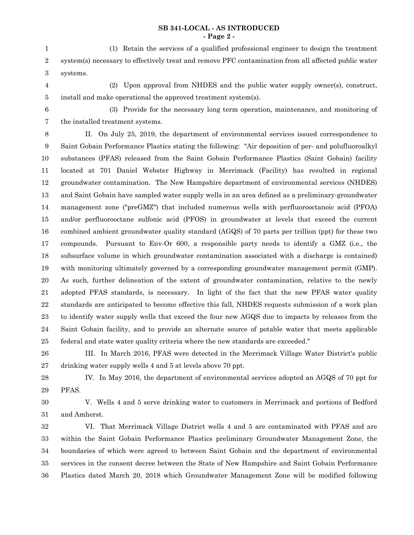# **SB 341-LOCAL - AS INTRODUCED - Page 2 -**

(1) Retain the services of a qualified professional engineer to design the treatment system(s) necessary to effectively treat and remove PFC contamination from all affected public water systems. 1 2 3

(2) Upon approval from NHDES and the public water supply owner(s), construct, install and make operational the approved treatment system(s). 4 5

6

7

(3) Provide for the necessary long term operation, maintenance, and monitoring of the installed treatment systems.

II. On July 25, 2019, the department of environmental services issued correspondence to Saint Gobain Performance Plastics stating the following: "Air deposition of per- and polufluoroalkyl substances (PFAS) released from the Saint Gobain Performance Plastics (Saint Gobain) facility located at 701 Daniel Webster Highway in Merrimack (Facility) has resulted in regional groundwater contamination. The New Hampshire department of environmental services (NHDES) and Saint Gobain have sampled water supply wells in an area defined as a preliminary-groundwater management zone ("preGMZ") that included numerous wells with perfluorooctanoic acid (PFOA) and/or perfluorooctane sulfonic acid (PFOS) in groundwater at levels that exceed the current combined ambient groundwater quality standard (AGQS) of 70 parts per trillion (ppt) for these two compounds. Pursuant to Env-Or 600, a responsible party needs to identify a GMZ (i.e., the subsurface volume in which groundwater contamination associated with a discharge is contained) with monitoring ultimately governed by a corresponding groundwater management permit (GMP). As such, further delineation of the extent of groundwater contamination, relative to the newly adopted PFAS standards, is necessary. In light of the fact that the new PFAS water quality standards are anticipated to become effective this fall, NHDES requests submission of a work plan to identify water supply wells that exceed the four new AGQS due to impacts by releases from the Saint Gobain facility, and to provide an alternate source of potable water that meets applicable federal and state water quality criteria where the new standards are exceeded." 8 9 10 11 12 13 14 15 16 17 18 19 20 21 22 23 24 25

III. In March 2016, PFAS were detected in the Merrimack Village Water District's public drinking water supply wells 4 and 5 at levels above 70 ppt. 26 27

IV. In May 2016, the department of environmental services adopted an AGQS of 70 ppt for PFAS. 28 29

30

V. Wells 4 and 5 serve drinking water to customers in Merrimack and portions of Bedford and Amherst. 31

VI. That Merrimack Village District wells 4 and 5 are contaminated with PFAS and are within the Saint Gobain Performance Plastics preliminary Groundwater Management Zone, the boundaries of which were agreed to between Saint Gobain and the department of environmental services in the consent decree between the State of New Hampshire and Saint Gobain Performance Plastics dated March 20, 2018 which Groundwater Management Zone will be modified following 32 33 34 35 36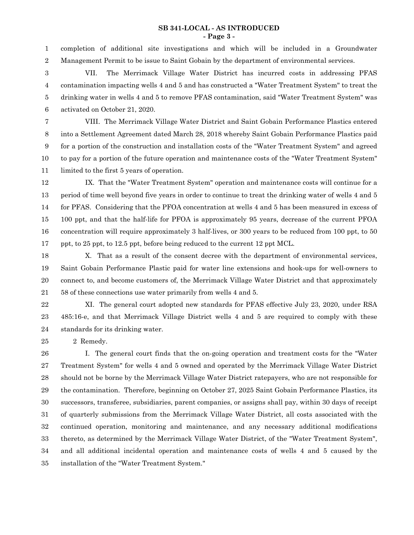# **SB 341-LOCAL - AS INTRODUCED - Page 3 -**

completion of additional site investigations and which will be included in a Groundwater Management Permit to be issue to Saint Gobain by the department of environmental services. 1 2

VII. The Merrimack Village Water District has incurred costs in addressing PFAS contamination impacting wells 4 and 5 and has constructed a "Water Treatment System" to treat the drinking water in wells 4 and 5 to remove PFAS contamination, said "Water Treatment System" was activated on October 21, 2020. 3 4 5 6

VIII. The Merrimack Village Water District and Saint Gobain Performance Plastics entered into a Settlement Agreement dated March 28, 2018 whereby Saint Gobain Performance Plastics paid for a portion of the construction and installation costs of the "Water Treatment System" and agreed to pay for a portion of the future operation and maintenance costs of the "Water Treatment System" limited to the first 5 years of operation. 7 8 9 10 11

IX. That the "Water Treatment System" operation and maintenance costs will continue for a period of time well beyond five years in order to continue to treat the drinking water of wells 4 and 5 for PFAS. Considering that the PFOA concentration at wells 4 and 5 has been measured in excess of 100 ppt, and that the half-life for PFOA is approximately 95 years, decrease of the current PFOA concentration will require approximately 3 half-lives, or 300 years to be reduced from 100 ppt, to 50 ppt, to 25 ppt, to 12.5 ppt, before being reduced to the current 12 ppt MCL. 12 13 14 15 16 17

X. That as a result of the consent decree with the department of environmental services, Saint Gobain Performance Plastic paid for water line extensions and hook-ups for well-owners to connect to, and become customers of, the Merrimack Village Water District and that approximately 58 of these connections use water primarily from wells 4 and 5. 18 19 20 21

XI. The general court adopted new standards for PFAS effective July 23, 2020, under RSA 485:16-e, and that Merrimack Village District wells 4 and 5 are required to comply with these standards for its drinking water. 22 23 24

2 Remedy.

25

I. The general court finds that the on-going operation and treatment costs for the "Water Treatment System" for wells 4 and 5 owned and operated by the Merrimack Village Water District should not be borne by the Merrimack Village Water District ratepayers, who are not responsible for the contamination. Therefore, beginning on October 27, 2025 Saint Gobain Performance Plastics, its successors, transferee, subsidiaries, parent companies, or assigns shall pay, within 30 days of receipt of quarterly submissions from the Merrimack Village Water District, all costs associated with the continued operation, monitoring and maintenance, and any necessary additional modifications thereto, as determined by the Merrimack Village Water District, of the "Water Treatment System", and all additional incidental operation and maintenance costs of wells 4 and 5 caused by the installation of the "Water Treatment System." 26 27 28 29 30 31 32 33 34 35